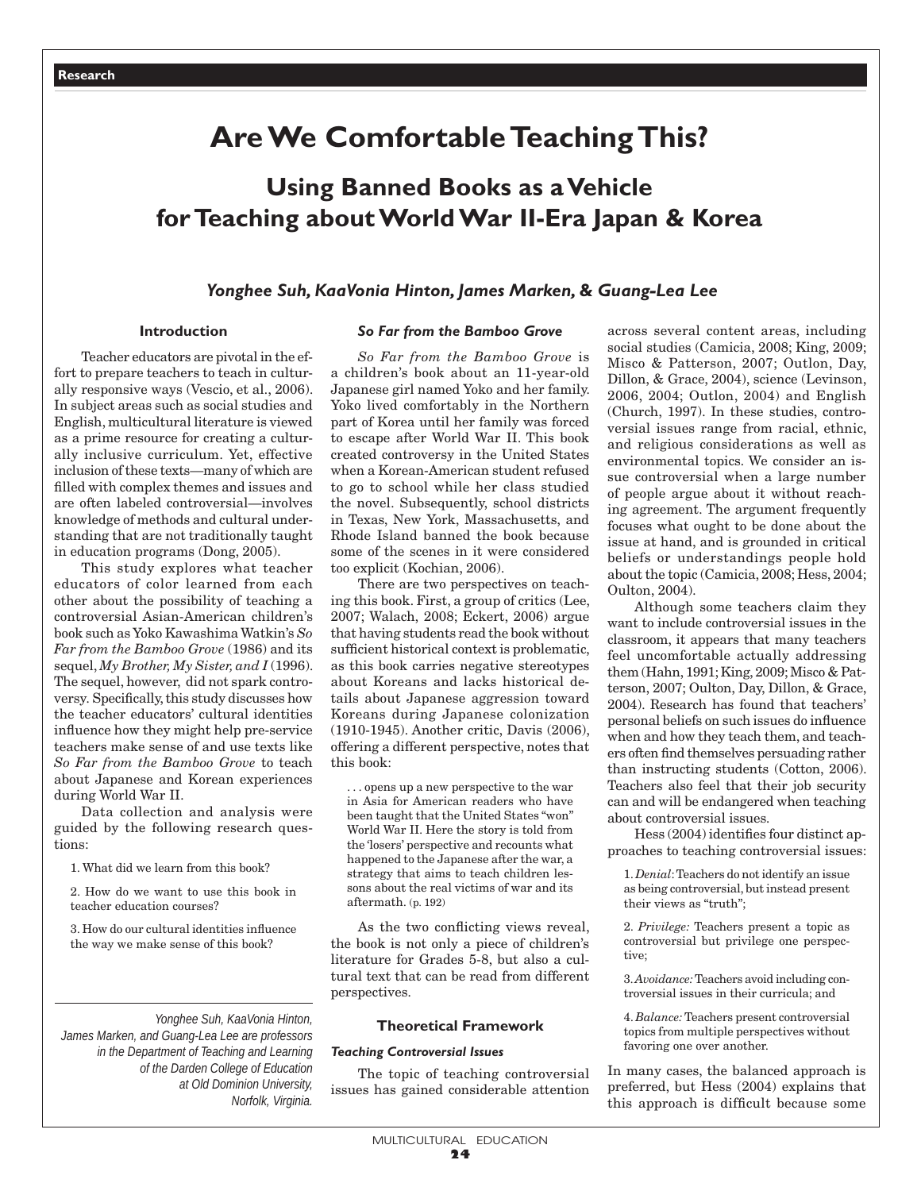## **Are We Comfortable Teaching This?**

# **Using Banned Books as a Vehicle for Teaching about World War II-Era Japan & Korea**

## *Yonghee Suh, KaaVonia Hinton, James Marken,* **&** *Guang-Lea Lee*

## **Introduction**

Teacher educators are pivotal in the effort to prepare teachers to teach in culturally responsive ways (Vescio, et al., 2006). In subject areas such as social studies and English, multicultural literature is viewed as a prime resource for creating a culturally inclusive curriculum. Yet, effective inclusion of these texts—many of which are filled with complex themes and issues and are often labeled controversial—involves knowledge of methods and cultural understanding that are not traditionally taught in education programs (Dong, 2005).

This study explores what teacher educators of color learned from each other about the possibility of teaching a controversial Asian-American children's book such as Yoko Kawashima Watkin's *So Far from the Bamboo Grove* (1986) and its sequel, *My Brother, My Sister, and I* (1996). The sequel, however, did not spark controversy*.* Specifically, this study discusses how the teacher educators' cultural identities influence how they might help pre-service teachers make sense of and use texts like *So Far from the Bamboo Grove* to teach about Japanese and Korean experiences during World War II.

Data collection and analysis were guided by the following research questions:

1. What did we learn from this book?

2. How do we want to use this book in teacher education courses?

3. How do our cultural identities influence the way we make sense of this book?

*Yonghee Suh, KaaVonia Hinton, James Marken, and Guang-Lea Lee are professors in the Department of Teaching and Learning of the Darden College of Education at Old Dominion University, Norfolk, Virginia.*

## *So Far from the Bamboo Grove*

*So Far from the Bamboo Grove* is a children's book about an 11-year-old Japanese girl named Yoko and her family. Yoko lived comfortably in the Northern part of Korea until her family was forced to escape after World War II. This book created controversy in the United States when a Korean-American student refused to go to school while her class studied the novel. Subsequently, school districts in Texas, New York, Massachusetts, and Rhode Island banned the book because some of the scenes in it were considered too explicit (Kochian, 2006).

There are two perspectives on teaching this book. First, a group of critics (Lee, 2007; Walach, 2008; Eckert, 2006) argue that having students read the book without sufficient historical context is problematic, as this book carries negative stereotypes about Koreans and lacks historical details about Japanese aggression toward Koreans during Japanese colonization (1910-1945). Another critic, Davis (2006), offering a different perspective, notes that this book:

. . . opens up a new perspective to the war in Asia for American readers who have been taught that the United States "won" World War II. Here the story is told from the 'losers' perspective and recounts what happened to the Japanese after the war, a strategy that aims to teach children lessons about the real victims of war and its aftermath. (p. 192)

As the two conflicting views reveal, the book is not only a piece of children's literature for Grades 5-8, but also a cultural text that can be read from different perspectives.

## **Theoretical Framework**

## *Teaching Controversial Issues*

The topic of teaching controversial issues has gained considerable attention across several content areas, including social studies (Camicia, 2008; King, 2009; Misco & Patterson, 2007; Outlon, Day, Dillon, & Grace, 2004), science (Levinson, 2006, 2004; Outlon, 2004) and English (Church, 1997). In these studies, controversial issues range from racial, ethnic, and religious considerations as well as environmental topics. We consider an issue controversial when a large number of people argue about it without reaching agreement. The argument frequently focuses what ought to be done about the issue at hand, and is grounded in critical beliefs or understandings people hold about the topic (Camicia, 2008; Hess, 2004; Oulton, 2004).

Although some teachers claim they want to include controversial issues in the classroom, it appears that many teachers feel uncomfortable actually addressing them (Hahn, 1991; King, 2009; Misco & Patterson, 2007; Oulton, Day, Dillon, & Grace, 2004). Research has found that teachers' personal beliefs on such issues do influence when and how they teach them, and teachers often find themselves persuading rather than instructing students (Cotton, 2006). Teachers also feel that their job security can and will be endangered when teaching about controversial issues.

Hess (2004) identifies four distinct approaches to teaching controversial issues:

1. *Denial*: Teachers do not identify an issue as being controversial, but instead present their views as "truth";

2. *Privilege:* Teachers present a topic as controversial but privilege one perspective;

3. *Avoidance:* Teachers avoid including controversial issues in their curricula; and

4. *Balance:* Teachers present controversial topics from multiple perspectives without favoring one over another.

In many cases, the balanced approach is preferred, but Hess (2004) explains that this approach is difficult because some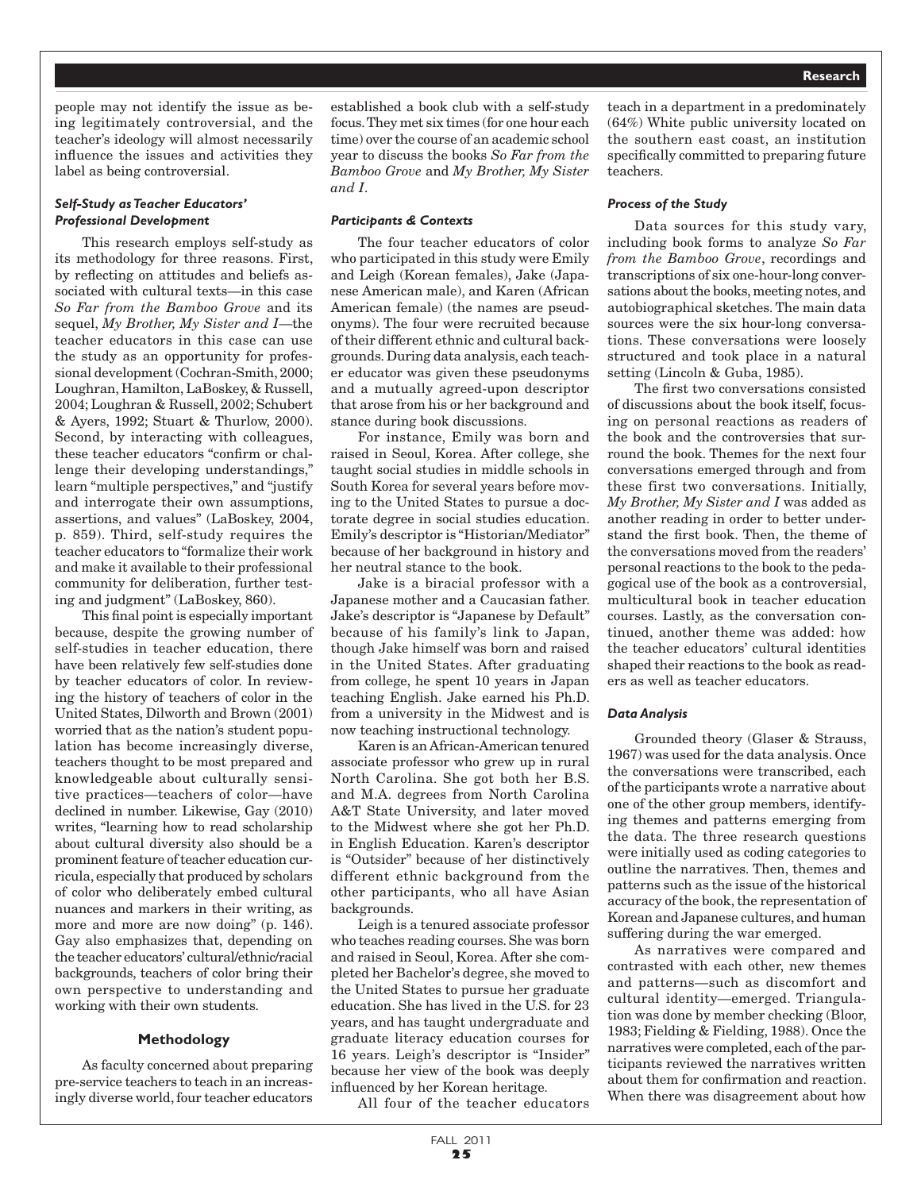people may not identify the issue as being legitimately controversial, and the teacher's ideology will almost necessarily influence the issues and activities they label as being controversial.

## *Self-Study as Teacher Educators' Professional Development*

This research employs self-study as its methodology for three reasons. First, by reflecting on attitudes and beliefs associated with cultural texts—in this case *So Far from the Bamboo Grove* and its sequel, *My Brother, My Sister and I*—the teacher educators in this case can use the study as an opportunity for professional development (Cochran-Smith, 2000; Loughran, Hamilton, LaBoskey, & Russell, 2004; Loughran & Russell, 2002; Schubert & Ayers, 1992; Stuart & Thurlow, 2000). Second, by interacting with colleagues, these teacher educators "confirm or challenge their developing understandings," learn "multiple perspectives," and "justify and interrogate their own assumptions, assertions, and values" (LaBoskey, 2004, p. 859). Third, self-study requires the teacher educators to "formalize their work and make it available to their professional community for deliberation, further testing and judgment" (LaBoskey, 860).

This final point is especially important because, despite the growing number of self-studies in teacher education, there have been relatively few self-studies done by teacher educators of color. In reviewing the history of teachers of color in the United States, Dilworth and Brown (2001) worried that as the nation's student population has become increasingly diverse, teachers thought to be most prepared and knowledgeable about culturally sensitive practices—teachers of color—have declined in number. Likewise, Gay (2010) writes, "learning how to read scholarship about cultural diversity also should be a prominent feature of teacher education curricula, especially that produced by scholars of color who deliberately embed cultural nuances and markers in their writing, as more and more are now doing" (p. 146). Gay also emphasizes that, depending on the teacher educators' cultural/ethnic/racial backgrounds, teachers of color bring their own perspective to understanding and working with their own students.

## **Methodology**

As faculty concerned about preparing pre-service teachers to teach in an increasingly diverse world, four teacher educators established a book club with a self-study focus. They met six times (for one hour each time) over the course of an academic school year to discuss the books *So Far from the Bamboo Grove* and *My Brother, My Sister and I*.

#### *Participants & Contexts*

The four teacher educators of color who participated in this study were Emily and Leigh (Korean females), Jake (Japanese American male), and Karen (African American female) (the names are pseudonyms). The four were recruited because of their different ethnic and cultural backgrounds. During data analysis, each teacher educator was given these pseudonyms and a mutually agreed-upon descriptor that arose from his or her background and stance during book discussions.

For instance, Emily was born and raised in Seoul, Korea. After college, she taught social studies in middle schools in South Korea for several years before moving to the United States to pursue a doctorate degree in social studies education. Emily's descriptor is "Historian/Mediator" because of her background in history and her neutral stance to the book.

Jake is a biracial professor with a Japanese mother and a Caucasian father. Jake's descriptor is "Japanese by Default" because of his family's link to Japan, though Jake himself was born and raised in the United States. After graduating from college, he spent 10 years in Japan teaching English. Jake earned his Ph.D. from a university in the Midwest and is now teaching instructional technology.

Karen is an African-American tenured associate professor who grew up in rural North Carolina. She got both her B.S. and M.A. degrees from North Carolina A&T State University, and later moved to the Midwest where she got her Ph.D. in English Education. Karen's descriptor is "Outsider" because of her distinctively different ethnic background from the other participants, who all have Asian backgrounds.

Leigh is a tenured associate professor who teaches reading courses. She was born and raised in Seoul, Korea. After she completed her Bachelor's degree, she moved to the United States to pursue her graduate education. She has lived in the U.S. for 23 years, and has taught undergraduate and graduate literacy education courses for 16 years. Leigh's descriptor is "Insider" because her view of the book was deeply influenced by her Korean heritage.

All four of the teacher educators

teach in a department in a predominately (64%) White public university located on the southern east coast, an institution specifically committed to preparing future teachers.

#### *Process of the Study*

Data sources for this study vary, including book forms to analyze *So Far from the Bamboo Grove*, recordings and transcriptions of six one-hour-long conversations about the books, meeting notes, and autobiographical sketches. The main data sources were the six hour-long conversations. These conversations were loosely structured and took place in a natural setting (Lincoln & Guba, 1985).

The first two conversations consisted of discussions about the book itself, focusing on personal reactions as readers of the book and the controversies that surround the book. Themes for the next four conversations emerged through and from these first two conversations. Initially, *My Brother, My Sister and I* was added as another reading in order to better understand the first book. Then, the theme of the conversations moved from the readers' personal reactions to the book to the pedagogical use of the book as a controversial, multicultural book in teacher education courses. Lastly, as the conversation continued, another theme was added: how the teacher educators' cultural identities shaped their reactions to the book as readers as well as teacher educators.

#### *Data Analysis*

Grounded theory (Glaser & Strauss, 1967) was used for the data analysis. Once the conversations were transcribed, each of the participants wrote a narrative about one of the other group members, identifying themes and patterns emerging from the data. The three research questions were initially used as coding categories to outline the narratives. Then, themes and patterns such as the issue of the historical accuracy of the book, the representation of Korean and Japanese cultures, and human suffering during the war emerged.

As narratives were compared and contrasted with each other, new themes and patterns—such as discomfort and cultural identity—emerged. Triangulation was done by member checking (Bloor, 1983; Fielding & Fielding, 1988). Once the narratives were completed, each of the participants reviewed the narratives written about them for confirmation and reaction. When there was disagreement about how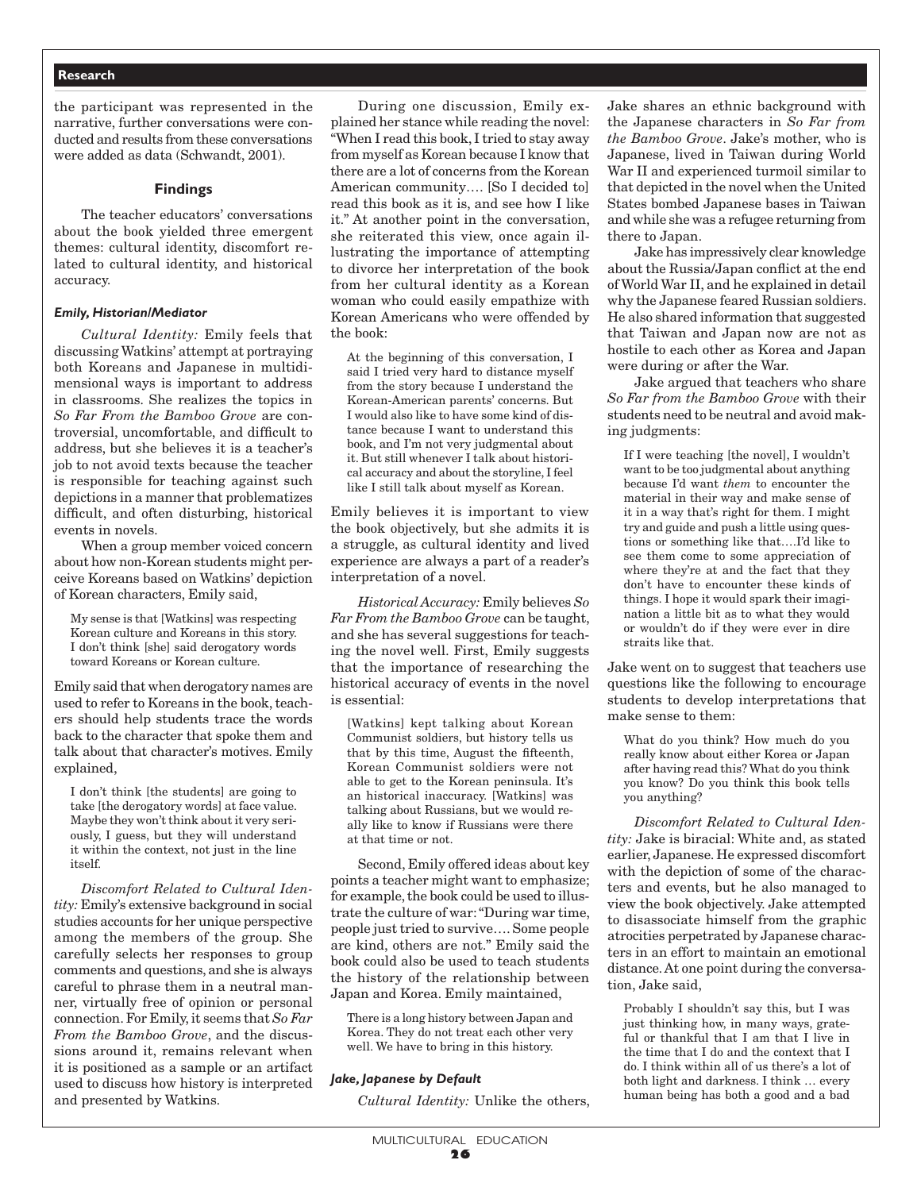the participant was represented in the narrative, further conversations were conducted and results from these conversations were added as data (Schwandt, 2001).

#### **Findings**

The teacher educators' conversations about the book yielded three emergent themes: cultural identity, discomfort related to cultural identity, and historical accuracy.

#### *Emily, Historian/Mediator*

*Cultural Identity:* Emily feels that discussing Watkins' attempt at portraying both Koreans and Japanese in multidimensional ways is important to address in classrooms. She realizes the topics in *So Far From the Bamboo Grove* are controversial, uncomfortable, and difficult to address, but she believes it is a teacher's job to not avoid texts because the teacher is responsible for teaching against such depictions in a manner that problematizes difficult, and often disturbing, historical events in novels.

When a group member voiced concern about how non-Korean students might perceive Koreans based on Watkins' depiction of Korean characters, Emily said,

My sense is that [Watkins] was respecting Korean culture and Koreans in this story. I don't think [she] said derogatory words toward Koreans or Korean culture.

Emily said that when derogatory names are used to refer to Koreans in the book, teachers should help students trace the words back to the character that spoke them and talk about that character's motives. Emily explained,

I don't think [the students] are going to take [the derogatory words] at face value. Maybe they won't think about it very seriously, I guess, but they will understand it within the context, not just in the line itself.

*Discomfort Related to Cultural Identity:* Emily's extensive background in social studies accounts for her unique perspective among the members of the group. She carefully selects her responses to group comments and questions, and she is always careful to phrase them in a neutral manner, virtually free of opinion or personal connection. For Emily, it seems that *So Far From the Bamboo Grove*, and the discussions around it, remains relevant when it is positioned as a sample or an artifact used to discuss how history is interpreted and presented by Watkins.

During one discussion, Emily explained her stance while reading the novel: "When I read this book, I tried to stay away from myself as Korean because I know that there are a lot of concerns from the Korean American community…. [So I decided to] read this book as it is, and see how I like it." At another point in the conversation, she reiterated this view, once again illustrating the importance of attempting to divorce her interpretation of the book from her cultural identity as a Korean woman who could easily empathize with Korean Americans who were offended by the book:

At the beginning of this conversation, I said I tried very hard to distance myself from the story because I understand the Korean-American parents' concerns. But I would also like to have some kind of distance because I want to understand this book, and I'm not very judgmental about it. But still whenever I talk about historical accuracy and about the storyline, I feel like I still talk about myself as Korean.

Emily believes it is important to view the book objectively, but she admits it is a struggle, as cultural identity and lived experience are always a part of a reader's interpretation of a novel.

*Historical Accuracy:* Emily believes *So Far From the Bamboo Grove* can be taught, and she has several suggestions for teaching the novel well. First, Emily suggests that the importance of researching the historical accuracy of events in the novel is essential:

[Watkins] kept talking about Korean Communist soldiers, but history tells us that by this time, August the fifteenth, Korean Communist soldiers were not able to get to the Korean peninsula. It's an historical inaccuracy. [Watkins] was talking about Russians, but we would really like to know if Russians were there at that time or not.

Second, Emily offered ideas about key points a teacher might want to emphasize; for example, the book could be used to illustrate the culture of war: "During war time, people just tried to survive…. Some people are kind, others are not." Emily said the book could also be used to teach students the history of the relationship between Japan and Korea. Emily maintained,

There is a long history between Japan and Korea. They do not treat each other very well. We have to bring in this history.

## *Jake, Japanese by Default*

*Cultural Identity:* Unlike the others,

Jake shares an ethnic background with the Japanese characters in *So Far from the Bamboo Grove*. Jake's mother, who is Japanese, lived in Taiwan during World War II and experienced turmoil similar to that depicted in the novel when the United States bombed Japanese bases in Taiwan and while she was a refugee returning from there to Japan.

Jake has impressively clear knowledge about the Russia/Japan conflict at the end of World War II, and he explained in detail why the Japanese feared Russian soldiers. He also shared information that suggested that Taiwan and Japan now are not as hostile to each other as Korea and Japan were during or after the War.

Jake argued that teachers who share *So Far from the Bamboo Grove* with their students need to be neutral and avoid making judgments:

If I were teaching [the novel], I wouldn't want to be too judgmental about anything because I'd want *them* to encounter the material in their way and make sense of it in a way that's right for them. I might try and guide and push a little using questions or something like that….I'd like to see them come to some appreciation of where they're at and the fact that they don't have to encounter these kinds of things. I hope it would spark their imagination a little bit as to what they would or wouldn't do if they were ever in dire straits like that.

Jake went on to suggest that teachers use questions like the following to encourage students to develop interpretations that make sense to them:

What do you think? How much do you really know about either Korea or Japan after having read this? What do you think you know? Do you think this book tells you anything?

*Discomfort Related to Cultural Identity:* Jake is biracial: White and, as stated earlier, Japanese. He expressed discomfort with the depiction of some of the characters and events, but he also managed to view the book objectively. Jake attempted to disassociate himself from the graphic atrocities perpetrated by Japanese characters in an effort to maintain an emotional distance. At one point during the conversation, Jake said,

Probably I shouldn't say this, but I was just thinking how, in many ways, grateful or thankful that I am that I live in the time that I do and the context that I do. I think within all of us there's a lot of both light and darkness. I think … every human being has both a good and a bad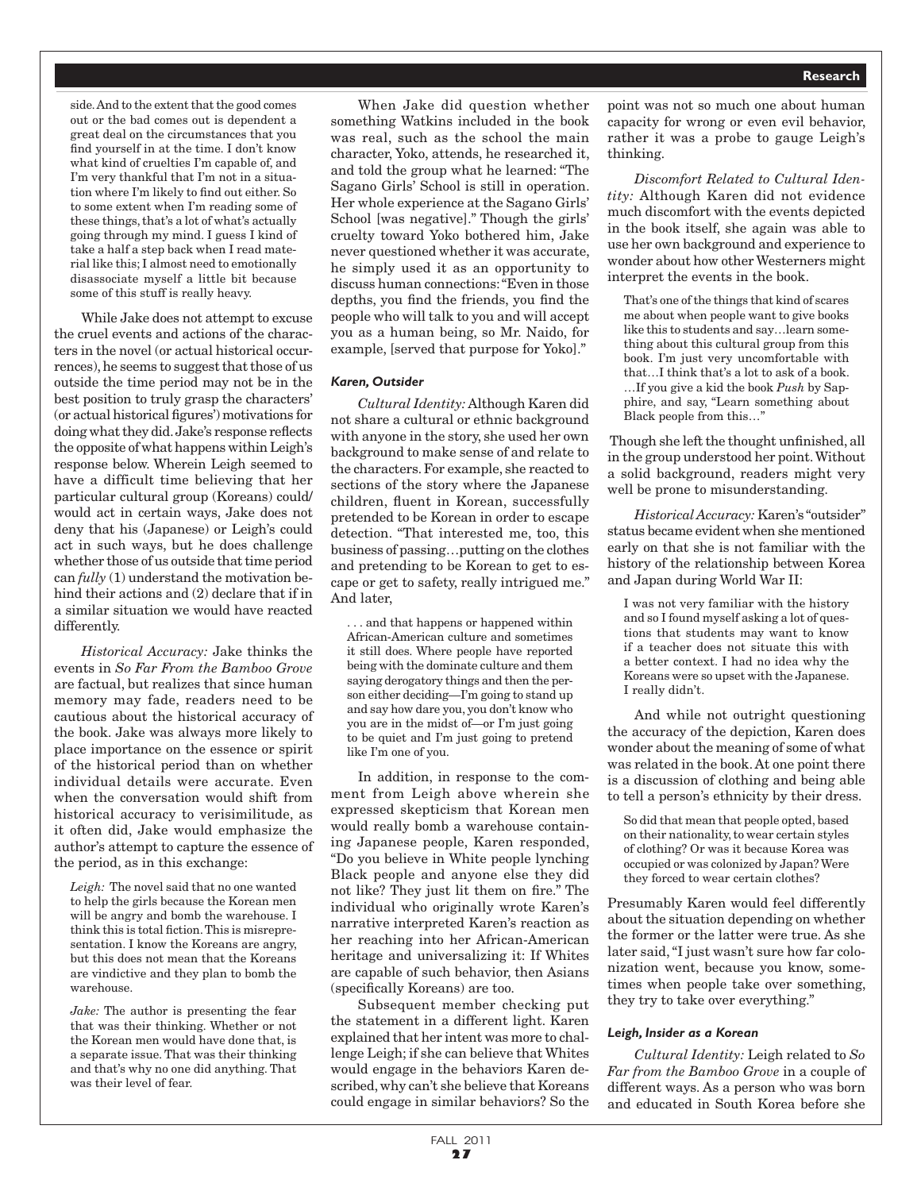side. And to the extent that the good comes out or the bad comes out is dependent a great deal on the circumstances that you find yourself in at the time. I don't know what kind of cruelties I'm capable of, and I'm very thankful that I'm not in a situation where I'm likely to find out either. So to some extent when I'm reading some of these things, that's a lot of what's actually going through my mind. I guess I kind of take a half a step back when I read material like this; I almost need to emotionally disassociate myself a little bit because some of this stuff is really heavy.

While Jake does not attempt to excuse the cruel events and actions of the characters in the novel (or actual historical occurrences), he seems to suggest that those of us outside the time period may not be in the best position to truly grasp the characters' (or actual historical figures') motivations for doing what they did. Jake's response reflects the opposite of what happens within Leigh's response below. Wherein Leigh seemed to have a difficult time believing that her particular cultural group (Koreans) could/ would act in certain ways, Jake does not deny that his (Japanese) or Leigh's could act in such ways, but he does challenge whether those of us outside that time period can *fully* (1) understand the motivation behind their actions and (2) declare that if in a similar situation we would have reacted differently.

*Historical Accuracy:* Jake thinks the events in *So Far From the Bamboo Grove*  are factual, but realizes that since human memory may fade, readers need to be cautious about the historical accuracy of the book. Jake was always more likely to place importance on the essence or spirit of the historical period than on whether individual details were accurate. Even when the conversation would shift from historical accuracy to verisimilitude, as it often did, Jake would emphasize the author's attempt to capture the essence of the period, as in this exchange:

*Leigh:* The novel said that no one wanted to help the girls because the Korean men will be angry and bomb the warehouse. I think this is total fiction. This is misrepresentation. I know the Koreans are angry, but this does not mean that the Koreans are vindictive and they plan to bomb the warehouse.

*Jake:* The author is presenting the fear that was their thinking. Whether or not the Korean men would have done that, is a separate issue. That was their thinking and that's why no one did anything. That was their level of fear.

When Jake did question whether something Watkins included in the book was real, such as the school the main character, Yoko, attends, he researched it, and told the group what he learned: "The Sagano Girls' School is still in operation. Her whole experience at the Sagano Girls' School [was negative]." Though the girls' cruelty toward Yoko bothered him, Jake never questioned whether it was accurate, he simply used it as an opportunity to discuss human connections: "Even in those depths, you find the friends, you find the people who will talk to you and will accept you as a human being, so Mr. Naido, for example, [served that purpose for Yoko]."

#### *Karen, Outsider*

*Cultural Identity:* Although Karen did not share a cultural or ethnic background with anyone in the story, she used her own background to make sense of and relate to the characters. For example, she reacted to sections of the story where the Japanese children, fluent in Korean, successfully pretended to be Korean in order to escape detection. "That interested me, too, this business of passing…putting on the clothes and pretending to be Korean to get to escape or get to safety, really intrigued me." And later,

. and that happens or happened within African-American culture and sometimes it still does. Where people have reported being with the dominate culture and them saying derogatory things and then the person either deciding—I'm going to stand up and say how dare you, you don't know who you are in the midst of—or I'm just going to be quiet and I'm just going to pretend like I'm one of you.

In addition, in response to the comment from Leigh above wherein she expressed skepticism that Korean men would really bomb a warehouse containing Japanese people, Karen responded, "Do you believe in White people lynching Black people and anyone else they did not like? They just lit them on fire." The individual who originally wrote Karen's narrative interpreted Karen's reaction as her reaching into her African-American heritage and universalizing it: If Whites are capable of such behavior, then Asians (specifically Koreans) are too.

Subsequent member checking put the statement in a different light. Karen explained that her intent was more to challenge Leigh; if she can believe that Whites would engage in the behaviors Karen described, why can't she believe that Koreans could engage in similar behaviors? So the point was not so much one about human capacity for wrong or even evil behavior, rather it was a probe to gauge Leigh's thinking.

*Discomfort Related to Cultural Identity:* Although Karen did not evidence much discomfort with the events depicted in the book itself, she again was able to use her own background and experience to wonder about how other Westerners might interpret the events in the book.

That's one of the things that kind of scares me about when people want to give books like this to students and say…learn something about this cultural group from this book. I'm just very uncomfortable with that…I think that's a lot to ask of a book. …If you give a kid the book *Push* by Sapphire, and say, "Learn something about Black people from this…"

 Though she left the thought unfinished, all in the group understood her point. Without a solid background, readers might very well be prone to misunderstanding.

*Historical Accuracy:* Karen's "outsider" status became evident when she mentioned early on that she is not familiar with the history of the relationship between Korea and Japan during World War II:

I was not very familiar with the history and so I found myself asking a lot of questions that students may want to know if a teacher does not situate this with a better context. I had no idea why the Koreans were so upset with the Japanese. I really didn't.

And while not outright questioning the accuracy of the depiction, Karen does wonder about the meaning of some of what was related in the book. At one point there is a discussion of clothing and being able to tell a person's ethnicity by their dress.

So did that mean that people opted, based on their nationality, to wear certain styles of clothing? Or was it because Korea was occupied or was colonized by Japan? Were they forced to wear certain clothes?

Presumably Karen would feel differently about the situation depending on whether the former or the latter were true. As she later said, "I just wasn't sure how far colonization went, because you know, sometimes when people take over something, they try to take over everything."

#### *Leigh, Insider as a Korean*

*Cultural Identity:* Leigh related to *So Far from the Bamboo Grove* in a couple of different ways. As a person who was born and educated in South Korea before she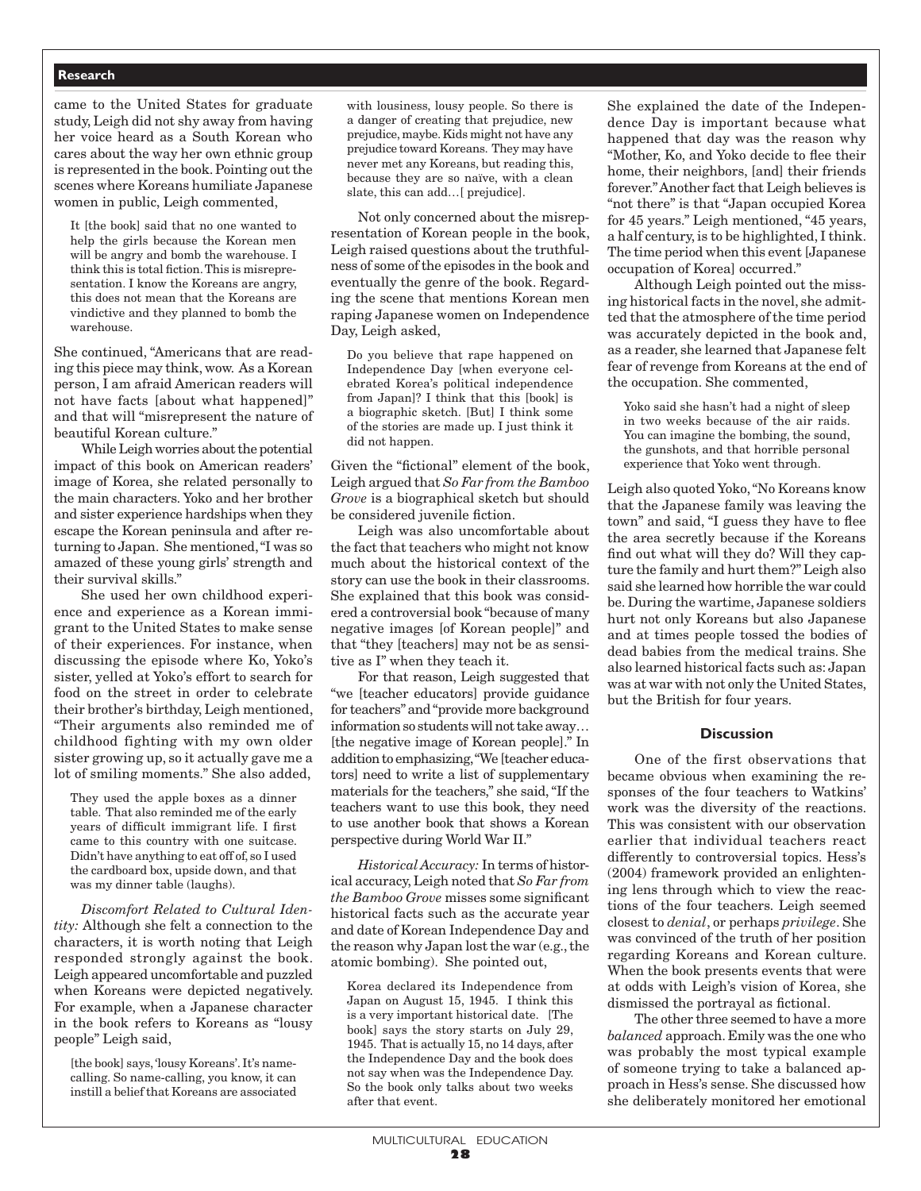came to the United States for graduate study, Leigh did not shy away from having her voice heard as a South Korean who cares about the way her own ethnic group is represented in the book. Pointing out the scenes where Koreans humiliate Japanese women in public, Leigh commented,

It [the book] said that no one wanted to help the girls because the Korean men will be angry and bomb the warehouse. I think this is total fiction. This is misrepresentation. I know the Koreans are angry, this does not mean that the Koreans are vindictive and they planned to bomb the warehouse.

She continued, "Americans that are reading this piece may think, wow. As a Korean person, I am afraid American readers will not have facts [about what happened]" and that will "misrepresent the nature of beautiful Korean culture."

While Leigh worries about the potential impact of this book on American readers' image of Korea, she related personally to the main characters. Yoko and her brother and sister experience hardships when they escape the Korean peninsula and after returning to Japan. She mentioned, "I was so amazed of these young girls' strength and their survival skills."

She used her own childhood experience and experience as a Korean immigrant to the United States to make sense of their experiences. For instance, when discussing the episode where Ko, Yoko's sister, yelled at Yoko's effort to search for food on the street in order to celebrate their brother's birthday, Leigh mentioned, "Their arguments also reminded me of childhood fighting with my own older sister growing up, so it actually gave me a lot of smiling moments." She also added,

They used the apple boxes as a dinner table. That also reminded me of the early years of difficult immigrant life. I first came to this country with one suitcase. Didn't have anything to eat off of, so I used the cardboard box, upside down, and that was my dinner table (laughs).

*Discomfort Related to Cultural Identity:* Although she felt a connection to the characters, it is worth noting that Leigh responded strongly against the book. Leigh appeared uncomfortable and puzzled when Koreans were depicted negatively. For example, when a Japanese character in the book refers to Koreans as "lousy people" Leigh said,

[the book] says, 'lousy Koreans'. It's namecalling. So name-calling, you know, it can instill a belief that Koreans are associated with lousiness, lousy people. So there is a danger of creating that prejudice, new prejudice, maybe. Kids might not have any prejudice toward Koreans. They may have never met any Koreans, but reading this, because they are so naïve, with a clean slate, this can add…[ prejudice].

Not only concerned about the misrepresentation of Korean people in the book, Leigh raised questions about the truthfulness of some of the episodes in the book and eventually the genre of the book. Regarding the scene that mentions Korean men raping Japanese women on Independence Day, Leigh asked,

Do you believe that rape happened on Independence Day [when everyone celebrated Korea's political independence from Japan]? I think that this [book] is a biographic sketch. [But] I think some of the stories are made up. I just think it did not happen.

Given the "fictional" element of the book, Leigh argued that *So Far from the Bamboo Grove* is a biographical sketch but should be considered juvenile fiction.

Leigh was also uncomfortable about the fact that teachers who might not know much about the historical context of the story can use the book in their classrooms. She explained that this book was considered a controversial book "because of many negative images [of Korean people]" and that "they [teachers] may not be as sensitive as I" when they teach it.

For that reason, Leigh suggested that "we [teacher educators] provide guidance for teachers" and "provide more background information so students will not take away… [the negative image of Korean people]." In addition to emphasizing, "We [teacher educators] need to write a list of supplementary materials for the teachers," she said, "If the teachers want to use this book, they need to use another book that shows a Korean perspective during World War II."

*Historical Accuracy:* In terms of historical accuracy, Leigh noted that *So Far from the Bamboo Grove* misses some significant historical facts such as the accurate year and date of Korean Independence Day and the reason why Japan lost the war (e.g., the atomic bombing). She pointed out,

Korea declared its Independence from Japan on August 15, 1945. I think this is a very important historical date. [The book] says the story starts on July 29, 1945. That is actually 15, no 14 days, after the Independence Day and the book does not say when was the Independence Day. So the book only talks about two weeks after that event.

She explained the date of the Independence Day is important because what happened that day was the reason why "Mother, Ko, and Yoko decide to flee their home, their neighbors, [and] their friends forever." Another fact that Leigh believes is "not there" is that "Japan occupied Korea for 45 years." Leigh mentioned, "45 years, a half century, is to be highlighted, I think. The time period when this event [Japanese occupation of Korea] occurred."

Although Leigh pointed out the missing historical facts in the novel, she admitted that the atmosphere of the time period was accurately depicted in the book and, as a reader, she learned that Japanese felt fear of revenge from Koreans at the end of the occupation. She commented,

Yoko said she hasn't had a night of sleep in two weeks because of the air raids. You can imagine the bombing, the sound, the gunshots, and that horrible personal experience that Yoko went through.

Leigh also quoted Yoko, "No Koreans know that the Japanese family was leaving the town" and said, "I guess they have to flee the area secretly because if the Koreans find out what will they do? Will they capture the family and hurt them?" Leigh also said she learned how horrible the war could be. During the wartime, Japanese soldiers hurt not only Koreans but also Japanese and at times people tossed the bodies of dead babies from the medical trains. She also learned historical facts such as: Japan was at war with not only the United States, but the British for four years.

#### **Discussion**

One of the first observations that became obvious when examining the responses of the four teachers to Watkins' work was the diversity of the reactions. This was consistent with our observation earlier that individual teachers react differently to controversial topics. Hess's (2004) framework provided an enlightening lens through which to view the reactions of the four teachers. Leigh seemed closest to *denial*, or perhaps *privilege*. She was convinced of the truth of her position regarding Koreans and Korean culture. When the book presents events that were at odds with Leigh's vision of Korea, she dismissed the portrayal as fictional.

The other three seemed to have a more *balanced* approach. Emily was the one who was probably the most typical example of someone trying to take a balanced approach in Hess's sense. She discussed how she deliberately monitored her emotional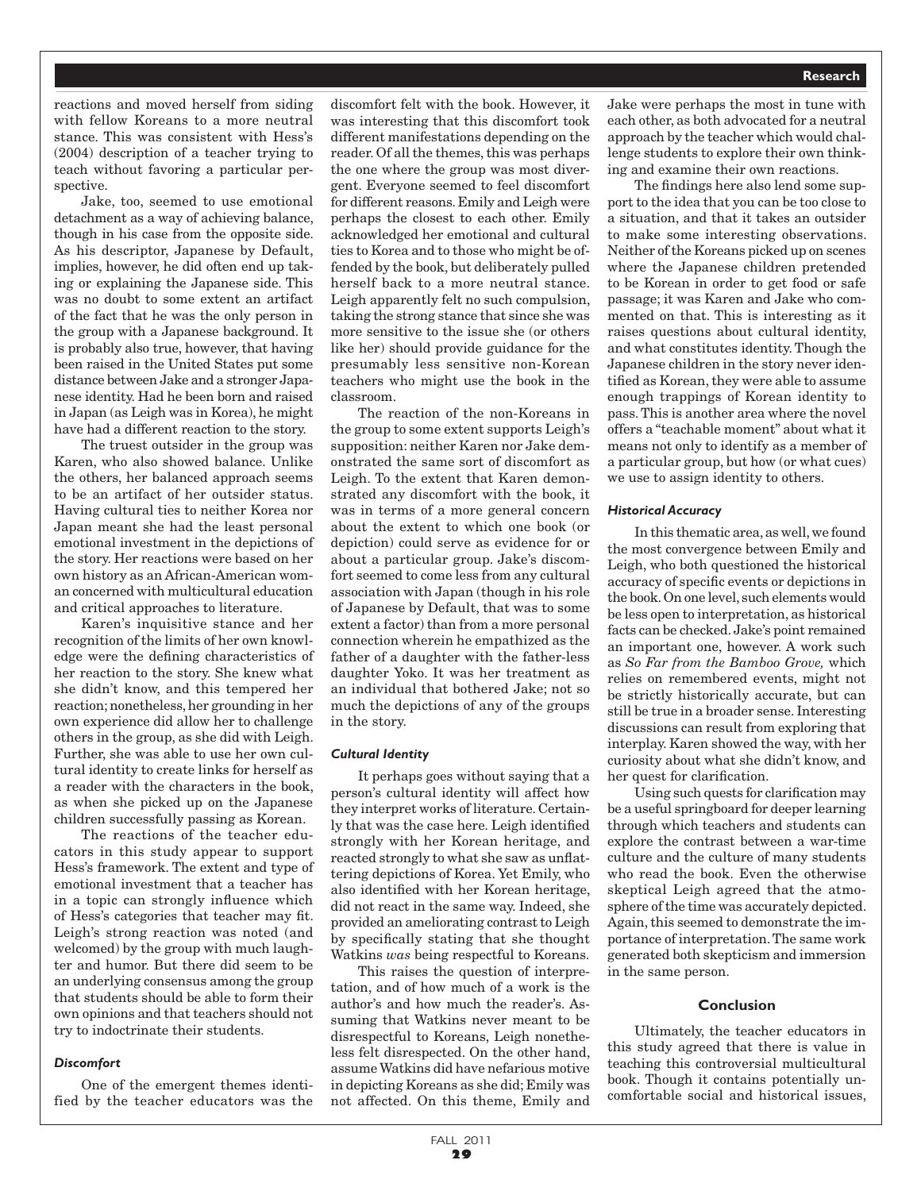reactions and moved herself from siding with fellow Koreans to a more neutral stance. This was consistent with Hess's (2004) description of a teacher trying to teach without favoring a particular perspective.

Jake, too, seemed to use emotional detachment as a way of achieving balance, though in his case from the opposite side. As his descriptor, Japanese by Default, implies, however, he did often end up taking or explaining the Japanese side. This was no doubt to some extent an artifact of the fact that he was the only person in the group with a Japanese background. It is probably also true, however, that having been raised in the United States put some distance between Jake and a stronger Japanese identity. Had he been born and raised in Japan (as Leigh was in Korea), he might have had a different reaction to the story.

The truest outsider in the group was Karen, who also showed balance. Unlike the others, her balanced approach seems to be an artifact of her outsider status. Having cultural ties to neither Korea nor Japan meant she had the least personal emotional investment in the depictions of the story. Her reactions were based on her own history as an African-American woman concerned with multicultural education and critical approaches to literature.

Karen's inquisitive stance and her recognition of the limits of her own knowledge were the defining characteristics of her reaction to the story. She knew what she didn't know, and this tempered her reaction; nonetheless, her grounding in her own experience did allow her to challenge others in the group, as she did with Leigh. Further, she was able to use her own cultural identity to create links for herself as a reader with the characters in the book, as when she picked up on the Japanese children successfully passing as Korean.

The reactions of the teacher educators in this study appear to support Hess's framework. The extent and type of emotional investment that a teacher has in a topic can strongly influence which of Hess's categories that teacher may fit. Leigh's strong reaction was noted (and welcomed) by the group with much laughter and humor. But there did seem to be an underlying consensus among the group that students should be able to form their own opinions and that teachers should not try to indoctrinate their students.

#### *Discomfort*

One of the emergent themes identified by the teacher educators was the

discomfort felt with the book. However, it was interesting that this discomfort took different manifestations depending on the reader. Of all the themes, this was perhaps the one where the group was most divergent. Everyone seemed to feel discomfort for different reasons. Emily and Leigh were perhaps the closest to each other. Emily acknowledged her emotional and cultural ties to Korea and to those who might be offended by the book, but deliberately pulled herself back to a more neutral stance. Leigh apparently felt no such compulsion, taking the strong stance that since she was more sensitive to the issue she (or others like her) should provide guidance for the presumably less sensitive non-Korean teachers who might use the book in the classroom.

The reaction of the non-Koreans in the group to some extent supports Leigh's supposition: neither Karen nor Jake demonstrated the same sort of discomfort as Leigh. To the extent that Karen demonstrated any discomfort with the book, it was in terms of a more general concern about the extent to which one book (or depiction) could serve as evidence for or about a particular group. Jake's discomfort seemed to come less from any cultural association with Japan (though in his role of Japanese by Default, that was to some extent a factor) than from a more personal connection wherein he empathized as the father of a daughter with the father-less daughter Yoko. It was her treatment as an individual that bothered Jake; not so much the depictions of any of the groups in the story.

#### *Cultural Identity*

It perhaps goes without saying that a person's cultural identity will affect how they interpret works of literature. Certainly that was the case here. Leigh identified strongly with her Korean heritage, and reacted strongly to what she saw as unflattering depictions of Korea. Yet Emily, who also identified with her Korean heritage, did not react in the same way. Indeed, she provided an ameliorating contrast to Leigh by specifically stating that she thought Watkins *was* being respectful to Koreans.

This raises the question of interpretation, and of how much of a work is the author's and how much the reader's. Assuming that Watkins never meant to be disrespectful to Koreans, Leigh nonetheless felt disrespected. On the other hand, assume Watkins did have nefarious motive in depicting Koreans as she did; Emily was not affected. On this theme, Emily and

Jake were perhaps the most in tune with each other, as both advocated for a neutral approach by the teacher which would challenge students to explore their own thinking and examine their own reactions.

The findings here also lend some support to the idea that you can be too close to a situation, and that it takes an outsider to make some interesting observations. Neither of the Koreans picked up on scenes where the Japanese children pretended to be Korean in order to get food or safe passage; it was Karen and Jake who commented on that. This is interesting as it raises questions about cultural identity, and what constitutes identity. Though the Japanese children in the story never identified as Korean, they were able to assume enough trappings of Korean identity to pass. This is another area where the novel offers a "teachable moment" about what it means not only to identify as a member of a particular group, but how (or what cues) we use to assign identity to others.

#### *Historical Accuracy*

In this thematic area, as well, we found the most convergence between Emily and Leigh, who both questioned the historical accuracy of specific events or depictions in the book. On one level, such elements would be less open to interpretation, as historical facts can be checked. Jake's point remained an important one, however. A work such as *So Far from the Bamboo Grove,* which relies on remembered events, might not be strictly historically accurate, but can still be true in a broader sense. Interesting discussions can result from exploring that interplay. Karen showed the way, with her curiosity about what she didn't know, and her quest for clarification.

Using such quests for clarification may be a useful springboard for deeper learning through which teachers and students can explore the contrast between a war-time culture and the culture of many students who read the book. Even the otherwise skeptical Leigh agreed that the atmosphere of the time was accurately depicted. Again, this seemed to demonstrate the importance of interpretation. The same work generated both skepticism and immersion in the same person.

## **Conclusion**

Ultimately, the teacher educators in this study agreed that there is value in teaching this controversial multicultural book. Though it contains potentially uncomfortable social and historical issues,